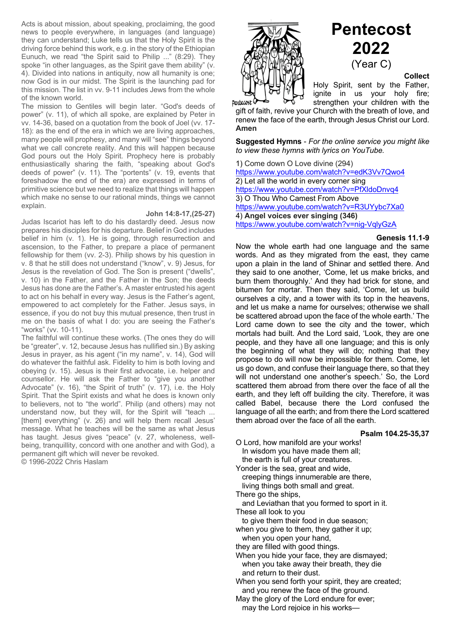Acts is about mission, about speaking, proclaiming, the good news to people everywhere, in languages (and language) they can understand; Luke tells us that the Holy Spirit is the driving force behind this work, e.g. in the story of the Ethiopian Eunuch, we read "the Spirit said to Philip ..." (8:29). They spoke "in other languages, as the Spirit gave them ability" (v. 4). Divided into nations in antiquity, now all humanity is one; now God is in our midst. The Spirit is the launching pad for this mission. The list in vv. 9-11 includes Jews from the whole of the known world.

The mission to Gentiles will begin later. "God's deeds of power" (v. 11), of which all spoke, are explained by Peter in vv. 14-36, based on a quotation from the book of Joel (vv. 17- 18): as the end of the era in which we are living approaches, many people will prophesy, and many will "see" things beyond what we call concrete reality. And this will happen because God pours out the Holy Spirit. Prophecy here is probably enthusiastically sharing the faith, "speaking about God's deeds of power" (v. 11). The "portents" (v. 19, events that foreshadow the end of the era) are expressed in terms of primitive science but we need to realize that things will happen which make no sense to our rational minds, things we cannot explain.

#### **John 14:8-17,(25-27)**

Judas Iscariot has left to do his dastardly deed. Jesus now prepares his disciples for his departure. Belief in God includes belief in him (v. 1). He is going, through resurrection and ascension, to the Father, to prepare a place of permanent fellowship for them (vv. 2-3). Philip shows by his question in v. 8 that he still does not understand ("know", v. 9) Jesus, for Jesus is the revelation of God. The Son is present ("dwells", v. 10) in the Father, and the Father in the Son; the deeds Jesus has done are the Father's. A master entrusted his agent to act on his behalf in every way. Jesus is the Father's agent, empowered to act completely for the Father. Jesus says, in essence, if you do not buy this mutual presence, then trust in me on the basis of what I do: you are seeing the Father's "works" (vv. 10-11).

The faithful will continue these works. (The ones they do will be "greater", v. 12, because Jesus has nullified sin.) By asking Jesus in prayer, as his agent ("in my name", v. 14), God will do whatever the faithful ask. Fidelity to him is both loving and obeying (v. 15). Jesus is their first advocate, i.e. helper and counsellor. He will ask the Father to "give you another Advocate" (v. 16), "the Spirit of truth" (v. 17), i.e. the Holy Spirit. That the Spirit exists and what he does is known only to believers, not to "the world". Philip (and others) may not understand now, but they will, for the Spirit will "teach ... [them] everything" (v. 26) and will help them recall Jesus' message. What he teaches will be the same as what Jesus has taught. Jesus gives "peace" (v. 27, wholeness, wellbeing, tranquillity, concord with one another and with God), a permanent gift which will never be revoked.

© 1996-2022 Chris Haslam



Dentecost

# **Pentecost 2022** (Year C)

**Collect**

Holy Spirit, sent by the Father, ignite in us your holy fire; strengthen your children with the

gift of faith, revive your Church with the breath of love, and renew the face of the earth, through Jesus Christ our Lord. **Amen**

**Suggested Hymns** - *For the online service you might like to view these hymns with lyrics on YouTube.*

1) Come down O Love divine (294) https://www.youtube.com/watch?v=edK3Vv7Qwo4 2) Let all the world in every corner sing https://www.youtube.com/watch?v=PfXldoDnvq4 3) O Thou Who Camest From Above https://www.youtube.com/watch?v=R3UYybc7Xa0 4) **Angel voices ever singing (346)** https://www.youtube.com/watch?v=nig-VqlyGzA

#### **Genesis 11.1-9**

Now the whole earth had one language and the same words. And as they migrated from the east, they came upon a plain in the land of Shinar and settled there. And they said to one another, 'Come, let us make bricks, and burn them thoroughly.' And they had brick for stone, and bitumen for mortar. Then they said, 'Come, let us build ourselves a city, and a tower with its top in the heavens, and let us make a name for ourselves; otherwise we shall be scattered abroad upon the face of the whole earth.' The Lord came down to see the city and the tower, which mortals had built. And the Lord said, 'Look, they are one people, and they have all one language; and this is only the beginning of what they will do; nothing that they propose to do will now be impossible for them. Come, let us go down, and confuse their language there, so that they will not understand one another's speech.' So, the Lord scattered them abroad from there over the face of all the earth, and they left off building the city. Therefore, it was called Babel, because there the Lord confused the language of all the earth; and from there the Lord scattered them abroad over the face of all the earth.

#### **Psalm 104.25-35,37**

O Lord, how manifold are your works! In wisdom you have made them all;

the earth is full of your creatures.

Yonder is the sea, great and wide, creeping things innumerable are there,

living things both small and great.

There go the ships,

 and Leviathan that you formed to sport in it. These all look to you

to give them their food in due season;

when you give to them, they gather it up; when you open your hand,

they are filled with good things.

When you hide your face, they are dismayed; when you take away their breath, they die and return to their dust.

When you send forth your spirit, they are created; and you renew the face of the ground.

May the glory of the Lord endure for ever; may the Lord rejoice in his works